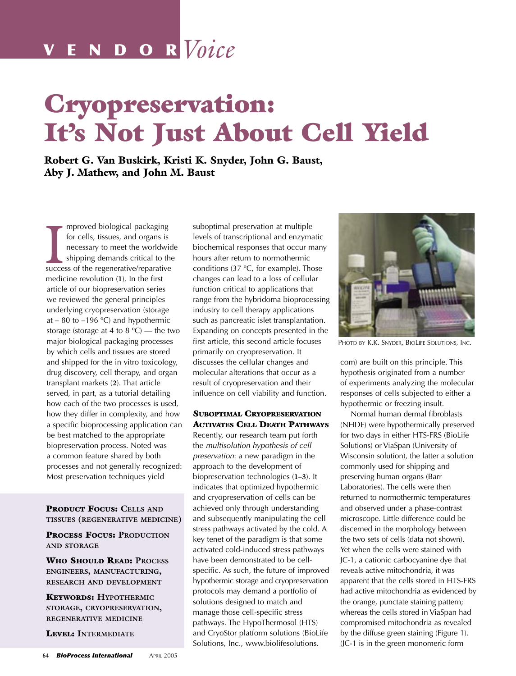# V E N D O R *Voice*

# Cryopreservation: It's Not Just About Cell Yield

Robert G. Van Buskirk, Kristi K. Snyder, John G. Baust, Aby J. Mathew, and John M. Baust

for cells, tissues, and organs is<br>
necessary to meet the worldwid<br>
shipping demands critical to the<br>
success of the regenerative/reparative mproved biological packaging for cells, tissues, and organs is necessary to meet the worldwide shipping demands critical to the medicine revolution (**1**). In the first article of our biopreservation series we reviewed the general principles underlying cryopreservation (storage at – 80 to –196  $°C$ ) and hypothermic storage (storage at 4 to 8  $^{\circ}$ C) — the two major biological packaging processes by which cells and tissues are stored and shipped for the in vitro toxicology, drug discovery, cell therapy, and organ transplant markets (**2**). That article served, in part, as a tutorial detailing how each of the two processes is used, how they differ in complexity, and how a specific bioprocessing application can be best matched to the appropriate biopreservation process. Noted was a common feature shared by both processes and not generally recognized: Most preservation techniques yield

### PRODUCT FOCUS: **CELLS AND TISSUES (REGENERATIVE MEDICINE)**

PROCESS FOCUS: **PRODUCTION AND STORAGE**

WHO SHOULD READ: **PROCESS ENGINEERS, MANUFACTURING, RESEARCH AND DEVELOPMENT**

KEYWORDS: **HYPOTHERMIC STORAGE, CRYOPRESERVATION, REGENERATIVE MEDICINE**

LEVEL: **INTERMEDIATE**

suboptimal preservation at multiple levels of transcriptional and enzymatic biochemical responses that occur many hours after return to normothermic conditions (37 ºC, for example). Those changes can lead to a loss of cellular function critical to applications that range from the hybridoma bioprocessing industry to cell therapy applications such as pancreatic islet transplantation. Expanding on concepts presented in the first article, this second article focuses primarily on cryopreservation. It discusses the cellular changes and molecular alterations that occur as a result of cryopreservation and their influence on cell viability and function.

#### SUBOPTIMAL CRYOPRESERVATION ACTIVATES CELL DEATH PATHWAYS

Recently, our research team put forth the multisolution hypothesis of cell preservation: a new paradigm in the approach to the development of biopreservation technologies (**1–3**). It indicates that optimized hypothermic and cryopreservation of cells can be achieved only through understanding and subsequently manipulating the cell stress pathways activated by the cold. A key tenet of the paradigm is that some activated cold-induced stress pathways have been demonstrated to be cellspecific. As such, the future of improved hypothermic storage and cryopreservation protocols may demand a portfolio of solutions designed to match and manage those cell-specific stress pathways. The HypoThermosol (HTS) and CryoStor platform solutions (BioLife Solutions, Inc., www.biolifesolutions.



PHOTO BY K.K. SNYDER, BIOLIFE SOLUTIONS, INC.

com) are built on this principle. This hypothesis originated from a number of experiments analyzing the molecular responses of cells subjected to either a hypothermic or freezing insult.

Normal human dermal fibroblasts (NHDF) were hypothermically preserved for two days in either HTS-FRS (BioLife Solutions) or ViaSpan (University of Wisconsin solution), the latter a solution commonly used for shipping and preserving human organs (Barr Laboratories). The cells were then returned to normothermic temperatures and observed under a phase-contrast microscope. Little difference could be discerned in the morphology between the two sets of cells (data not shown). Yet when the cells were stained with JC-1, a cationic carbocyanine dye that reveals active mitochondria, it was apparent that the cells stored in HTS-FRS had active mitochondria as evidenced by the orange, punctate staining pattern; whereas the cells stored in ViaSpan had compromised mitochondria as revealed by the diffuse green staining (Figure 1). (JC-1 is in the green monomeric form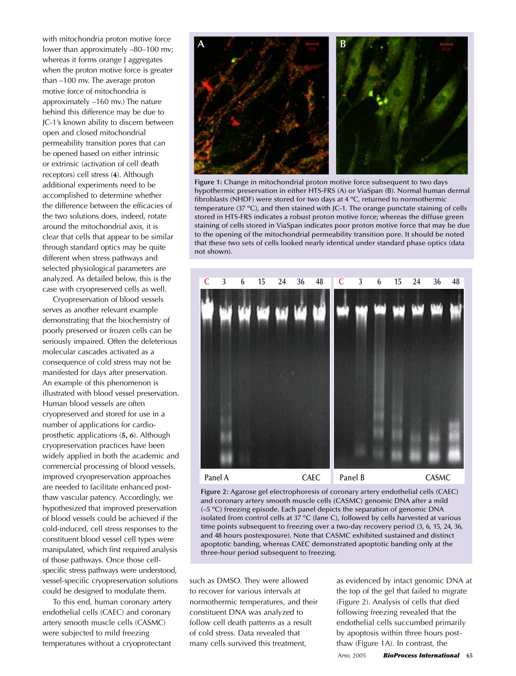with mitochondria proton motive force lower than approximately –80–100 mv; whereas it forms orange J aggregates when the proton motive force is greater than –100 mv. The average proton motive force of mitochondria is approximately –160 mv.) The nature behind this difference may be due to JC-1's known ability to discern between open and closed mitochondrial permeability transition pores that can be opened based on either intrinsic or extrinsic (activation of cell death receptors) cell stress (**4**). Although additional experiments need to be accomplished to determine whether the difference between the efficacies of the two solutions does, indeed, rotate around the mitochondrial axis, it is clear that cells that appear to be similar through standard optics may be quite different when stress pathways and selected physiological parameters are analyzed. As detailed below, this is the case with cryopreserved cells as well.

Cryopreservation of blood vessels serves as another relevant example demonstrating that the biochemistry of poorly preserved or frozen cells can be seriously impaired. Often the deleterious molecular cascades activated as a consequence of cold stress may not be manifested for days after preservation. An example of this phenomenon is illustrated with blood vessel preservation. Human blood vessels are often cryopreserved and stored for use in a number of applications for cardioprosthetic applications (**5, 6**). Although cryopreservation practices have been widely applied in both the academic and commercial processing of blood vessels, improved cryopreservation approaches are needed to facilitate enhanced postthaw vascular patency. Accordingly, we hypothesized that improved preservation of blood vessels could be achieved if the cold-induced, cell stress responses to the constituent blood vessel cell types were manipulated, which first required analysis of those pathways. Once those cellspecific stress pathways were understood, vessel-specific cryopreservation solutions could be designed to modulate them.

To this end, human coronary artery endothelial cells (CAEC) and coronary artery smooth muscle cells (CASMC) were subjected to mild freezing temperatures without a cryoprotectant



**Figure 1:** Change in mitochondrial proton motive force subsequent to two days hypothermic preservation in either HTS-FRS (A) or ViaSpan (B). Normal human dermal fibroblasts (NHDF) were stored for two days at 4 ºC, returned to normothermic temperature (37 ºC), and then stained with JC-1. The orange punctate staining of cells stored in HTS-FRS indicates a robust proton motive force; whereas the diffuse green staining of cells stored in ViaSpan indicates poor proton motive force that may be due to the opening of the mitochondrial permeability transition pore. It should be noted that these two sets of cells looked nearly identical under standard phase optics (data not shown).



**Figure 2:** Agarose gel electrophoresis of coronary artery endothelial cells (CAEC) and coronary artery smooth muscle cells (CASMC) genomic DNA after a mild (–5 ºC) freezing episode. Each panel depicts the separation of genomic DNA isolated from control cells at 37 ºC (lane C), followed by cells harvested at various time points subsequent to freezing over a two-day recovery period (3, 6, 15, 24, 36, and 48 hours postexposure). Note that CASMC exhibited sustained and distinct apoptotic banding, whereas CAEC demonstrated apoptotic banding only at the three-hour period subsequent to freezing.

such as DMSO. They were allowed to recover for various intervals at normothermic temperatures, and their constituent DNA was analyzed to follow cell death patterns as a result of cold stress. Data revealed that many cells survived this treatment,

as evidenced by intact genomic DNA at the top of the gel that failed to migrate (Figure 2). Analysis of cells that died following freezing revealed that the endothelial cells succumbed primarily by apoptosis within three hours postthaw (Figure 1A). In contrast, the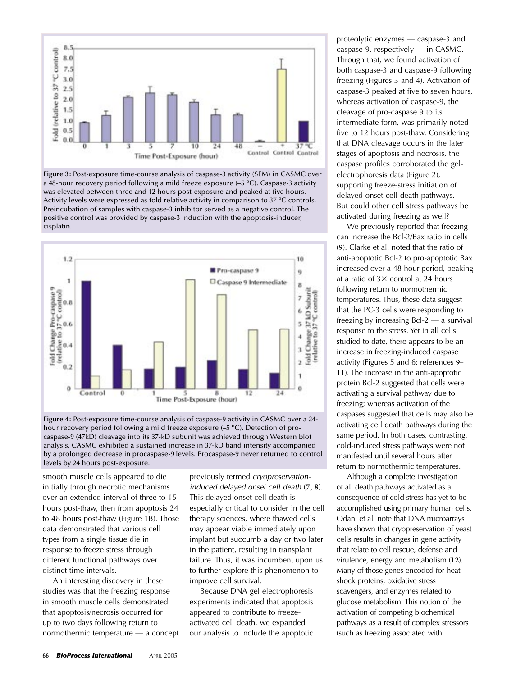

**Figure 3:** Post-exposure time-course analysis of caspase-3 activity (SEM) in CASMC over a 48-hour recovery period following a mild freeze exposure (–5 ºC). Caspase-3 activity was elevated between three and 12 hours post-exposure and peaked at five hours. Activity levels were expressed as fold relative activity in comparison to 37 ºC controls. Preincubation of samples with caspase-3 inhibitor served as a negative control. The positive control was provided by caspase-3 induction with the apoptosis-inducer, cisplatin.



**Figure 4:** Post-exposure time-course analysis of caspase-9 activity in CASMC over a 24 hour recovery period following a mild freeze exposure (–5 ºC). Detection of procaspase-9 (47kD) cleavage into its 37-kD subunit was achieved through Western blot analysis. CASMC exhibited a sustained increase in 37-kD band intensity accompanied by a prolonged decrease in procaspase-9 levels. Procaspase-9 never returned to control levels by 24 hours post-exposure.

smooth muscle cells appeared to die initially through necrotic mechanisms over an extended interval of three to 15 hours post-thaw, then from apoptosis 24 to 48 hours post-thaw (Figure 1B). Those data demonstrated that various cell types from a single tissue die in response to freeze stress through different functional pathways over distinct time intervals.

An interesting discovery in these studies was that the freezing response in smooth muscle cells demonstrated that apoptosis/necrosis occurred for up to two days following return to normothermic temperature — a concept previously termed cryopreservationinduced delayed onset cell death (**7, 8**). This delayed onset cell death is especially critical to consider in the cell therapy sciences, where thawed cells may appear viable immediately upon implant but succumb a day or two later in the patient, resulting in transplant failure. Thus, it was incumbent upon us to further explore this phenomenon to improve cell survival.

Because DNA gel electrophoresis experiments indicated that apoptosis appeared to contribute to freezeactivated cell death, we expanded our analysis to include the apoptotic

proteolytic enzymes — caspase-3 and caspase-9, respectively — in CASMC. Through that, we found activation of both caspase-3 and caspase-9 following freezing (Figures 3 and 4). Activation of caspase-3 peaked at five to seven hours, whereas activation of caspase-9, the cleavage of pro-caspase 9 to its intermediate form, was primarily noted five to 12 hours post-thaw. Considering that DNA cleavage occurs in the later stages of apoptosis and necrosis, the caspase profiles corroborated the gelelectrophoresis data (Figure 2), supporting freeze-stress initiation of delayed-onset cell death pathways. But could other cell stress pathways be activated during freezing as well?

We previously reported that freezing can increase the Bcl-2/Bax ratio in cells (**9**). Clarke et al. noted that the ratio of anti-apoptotic Bcl-2 to pro-apoptotic Bax increased over a 48 hour period, peaking at a ratio of  $3 \times$  control at 24 hours following return to normothermic temperatures. Thus, these data suggest that the PC-3 cells were responding to freezing by increasing Bcl-2 — a survival response to the stress. Yet in all cells studied to date, there appears to be an increase in freezing-induced caspase activity (Figures 5 and 6; references **9– 11**). The increase in the anti-apoptotic protein Bcl-2 suggested that cells were activating a survival pathway due to freezing; whereas activation of the caspases suggested that cells may also be activating cell death pathways during the same period. In both cases, contrasting, cold-induced stress pathways were not manifested until several hours after return to normothermic temperatures.

Although a complete investigation of all death pathways activated as a consequence of cold stress has yet to be accomplished using primary human cells, Odani et al. note that DNA microarrays have shown that cryopreservation of yeast cells results in changes in gene activity that relate to cell rescue, defense and virulence, energy and metabolism (**12**). Many of those genes encoded for heat shock proteins, oxidative stress scavengers, and enzymes related to glucose metabolism. This notion of the activation of competing biochemical pathways as a result of complex stressors (such as freezing associated with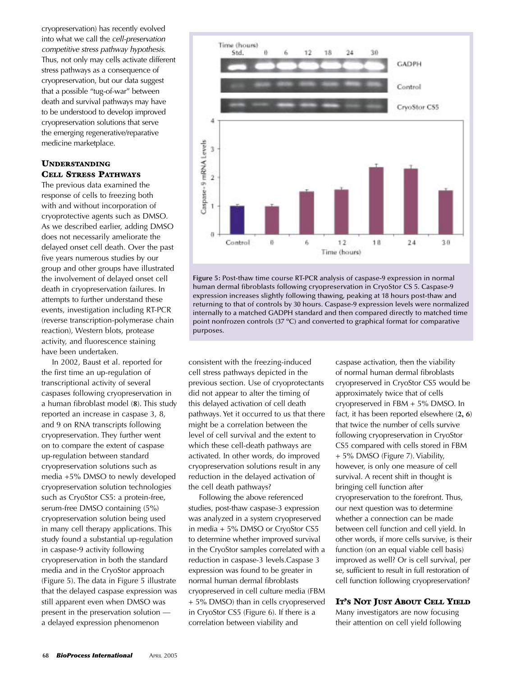cryopreservation) has recently evolved into what we call the cell-preservation competitive stress pathway hypothesis. Thus, not only may cells activate different stress pathways as a consequence of cryopreservation, but our data suggest that a possible "tug-of-war" between death and survival pathways may have to be understood to develop improved cryopreservation solutions that serve the emerging regenerative/reparative medicine marketplace.

#### UNDERSTANDING CELL STRESS PATHWAYS

The previous data examined the response of cells to freezing both with and without incorporation of cryoprotective agents such as DMSO. As we described earlier, adding DMSO does not necessarily ameliorate the delayed onset cell death. Over the past five years numerous studies by our group and other groups have illustrated the involvement of delayed onset cell death in cryopreservation failures. In attempts to further understand these events, investigation including RT-PCR (reverse transcription-polymerase chain reaction), Western blots, protease activity, and fluorescence staining have been undertaken.

In 2002, Baust et al. reported for the first time an up-regulation of transcriptional activity of several caspases following cryopreservation in a human fibroblast model (**8**). This study reported an increase in caspase 3, 8, and 9 on RNA transcripts following cryopreservation. They further went on to compare the extent of caspase up-regulation between standard cryopreservation solutions such as media +5% DMSO to newly developed cryopreservation solution technologies such as CryoStor CS5: a protein-free, serum-free DMSO containing (5%) cryopreservation solution being used in many cell therapy applications. This study found a substantial up-regulation in caspase-9 activity following cryopreservation in both the standard media and in the CryoStor approach (Figure 5). The data in Figure 5 illustrate that the delayed caspase expression was still apparent even when DMSO was present in the preservation solution a delayed expression phenomenon



**Figure 5:** Post-thaw time course RT-PCR analysis of caspase-9 expression in normal human dermal fibroblasts following cryopreservation in CryoStor CS 5. Caspase-9 expression increases slightly following thawing, peaking at 18 hours post-thaw and returning to that of controls by 30 hours. Caspase-9 expression levels were normalized internally to a matched GADPH standard and then compared directly to matched time point nonfrozen controls (37 ºC) and converted to graphical format for comparative purposes.

consistent with the freezing-induced cell stress pathways depicted in the previous section. Use of cryoprotectants did not appear to alter the timing of this delayed activation of cell death pathways. Yet it occurred to us that there might be a correlation between the level of cell survival and the extent to which these cell-death pathways are activated. In other words, do improved cryopreservation solutions result in any reduction in the delayed activation of the cell death pathways?

Following the above referenced studies, post-thaw caspase-3 expression was analyzed in a system cryopreserved in media + 5% DMSO or CryoStor CS5 to determine whether improved survival in the CryoStor samples correlated with a reduction in caspase-3 levels.Caspase 3 expression was found to be greater in normal human dermal fibroblasts cryopreserved in cell culture media (FBM + 5% DMSO) than in cells cryopreserved in CryoStor CS5 (Figure 6). If there is a correlation between viability and

caspase activation, then the viability of normal human dermal fibroblasts cryopreserved in CryoStor CS5 would be approximately twice that of cells cryopreserved in FBM + 5% DMSO. In fact, it has been reported elsewhere (**2, 6**) that twice the number of cells survive following cryopreservation in CryoStor CS5 compared with cells stored in FBM + 5% DMSO (Figure 7). Viability, however, is only one measure of cell survival. A recent shift in thought is bringing cell function after cryopreservation to the forefront. Thus, our next question was to determine whether a connection can be made between cell function and cell yield. In other words, if more cells survive, is their function (on an equal viable cell basis) improved as well? Or is cell survival, per se, sufficient to result in full restoration of cell function following cryopreservation?

#### IT'S NOT JUST ABOUT CELL YIELD

Many investigators are now focusing their attention on cell yield following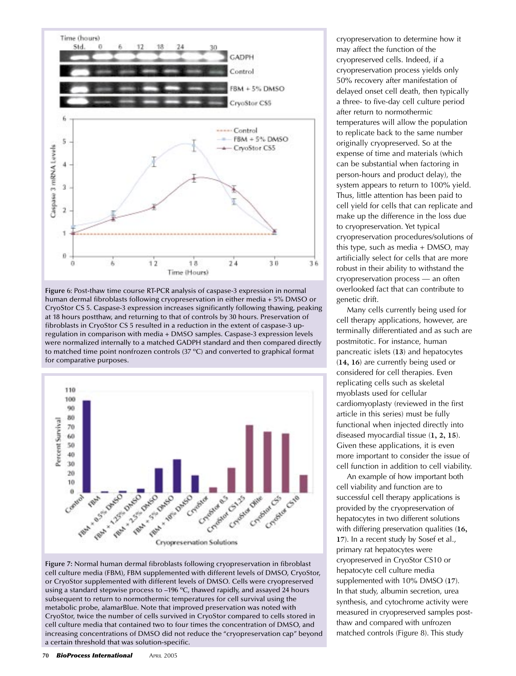

**Figure** 6: Post-thaw time course RT-PCR analysis of caspase-3 expression in normal human dermal fibroblasts following cryopreservation in either media + 5% DMSO or CryoStor CS 5. Caspase-3 expression increases significantly following thawing, peaking at 18 hours postthaw, and returning to that of controls by 30 hours. Preservation of fibroblasts in CryoStor CS 5 resulted in a reduction in the extent of caspase-3 upregulation in comparison with media + DMSO samples. Caspase-3 expression levels were normalized internally to a matched GADPH standard and then compared directly to matched time point nonfrozen controls (37 ºC) and converted to graphical format for comparative purposes.



**Figure 7:** Normal human dermal fibroblasts following cryopreservation in fibroblast cell culture media (FBM), FBM supplemented with different levels of DMSO, CryoStor, or CryoStor supplemented with different levels of DMSO. Cells were cryopreserved using a standard stepwise process to –196 ºC, thawed rapidly, and assayed 24 hours subsequent to return to normothermic temperatures for cell survival using the metabolic probe, alamarBlue. Note that improved preservation was noted with CryoStor, twice the number of cells survived in CryoStor compared to cells stored in cell culture media that contained two to four times the concentration of DMSO, and increasing concentrations of DMSO did not reduce the "cryopreservation cap" beyond a certain threshold that was solution-specific.

cryopreservation to determine how it may affect the function of the cryopreserved cells. Indeed, if a cryopreservation process yields only 50% recovery after manifestation of delayed onset cell death, then typically a three- to five-day cell culture period after return to normothermic temperatures will allow the population to replicate back to the same number originally cryopreserved. So at the expense of time and materials (which can be substantial when factoring in person-hours and product delay), the system appears to return to 100% yield. Thus, little attention has been paid to cell yield for cells that can replicate and make up the difference in the loss due to cryopreservation. Yet typical cryopreservation procedures/solutions of this type, such as media + DMSO, may artificially select for cells that are more robust in their ability to withstand the cryopreservation process — an often overlooked fact that can contribute to genetic drift.

Many cells currently being used for cell therapy applications, however, are terminally differentiated and as such are postmitotic. For instance, human pancreatic islets (**13**) and hepatocytes (**14, 16**) are currently being used or considered for cell therapies. Even replicating cells such as skeletal myoblasts used for cellular cardiomyoplasty (reviewed in the first article in this series) must be fully functional when injected directly into diseased myocardial tissue (**1, 2, 15**). Given these applications, it is even more important to consider the issue of cell function in addition to cell viability.

An example of how important both cell viability and function are to successful cell therapy applications is provided by the cryopreservation of hepatocytes in two different solutions with differing preservation qualities (**16, 17**). In a recent study by Sosef et al., primary rat hepatocytes were cryopreserved in CryoStor CS10 or hepatocyte cell culture media supplemented with 10% DMSO (**17**). In that study, albumin secretion, urea synthesis, and cytochrome activity were measured in cryopreserved samples postthaw and compared with unfrozen matched controls (Figure 8). This study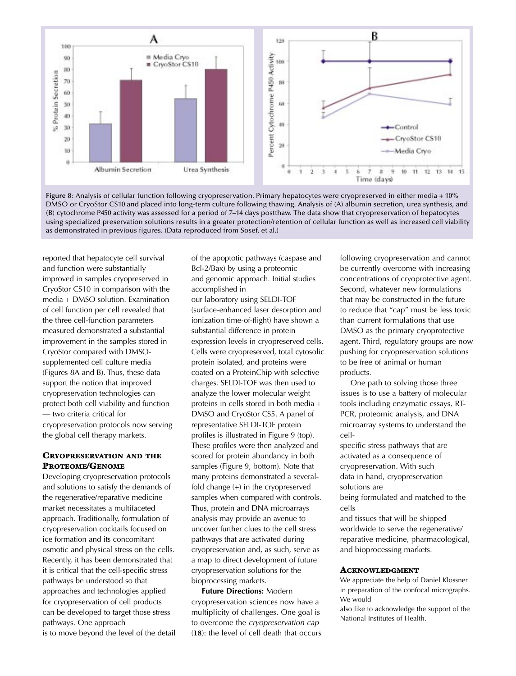

**Figure 8:** Analysis of cellular function following cryopreservation. Primary hepatocytes were cryopreserved in either media + 10% DMSO or CryoStor CS10 and placed into long-term culture following thawing. Analysis of (A) albumin secretion, urea synthesis, and (B) cytochrome P450 activity was assessed for a period of 7–14 days postthaw. The data show that cryopreservation of hepatocytes using specialized preservation solutions results in a greater protection/retention of cellular function as well as increased cell viability as demonstrated in previous figures. (Data reproduced from Sosef, et al.)

reported that hepatocyte cell survival and function were substantially improved in samples cryopreserved in CryoStor CS10 in comparison with the media + DMSO solution. Examination of cell function per cell revealed that the three cell-function parameters measured demonstrated a substantial improvement in the samples stored in CryoStor compared with DMSOsupplemented cell culture media (Figures 8A and B). Thus, these data support the notion that improved cryopreservation technologies can protect both cell viability and function — two criteria critical for cryopreservation protocols now serving the global cell therapy markets.

## CRYOPRESERVATION AND THE PROTEOME/GENOME

Developing cryopreservation protocols and solutions to satisfy the demands of the regenerative/reparative medicine market necessitates a multifaceted approach. Traditionally, formulation of cryopreservation cocktails focused on ice formation and its concomitant osmotic and physical stress on the cells. Recently, it has been demonstrated that it is critical that the cell-specific stress pathways be understood so that approaches and technologies applied for cryopreservation of cell products can be developed to target those stress pathways. One approach is to move beyond the level of the detail of the apoptotic pathways (caspase and Bcl-2/Bax) by using a proteomic and genomic approach. Initial studies accomplished in

our laboratory using SELDI-TOF (surface-enhanced laser desorption and ionization time-of-flight) have shown a substantial difference in protein expression levels in cryopreserved cells. Cells were cryopreserved, total cytosolic protein isolated, and proteins were coated on a ProteinChip with selective charges. SELDI-TOF was then used to analyze the lower molecular weight proteins in cells stored in both media + DMSO and CryoStor CS5. A panel of representative SELDI-TOF protein profiles is illustrated in Figure 9 (top). These profiles were then analyzed and scored for protein abundancy in both samples (Figure 9, bottom). Note that many proteins demonstrated a severalfold change (+) in the cryopreserved samples when compared with controls. Thus, protein and DNA microarrays analysis may provide an avenue to uncover further clues to the cell stress pathways that are activated during cryopreservation and, as such, serve as a map to direct development of future cryopreservation solutions for the bioprocessing markets.

**Future Directions:** Modern cryopreservation sciences now have a multiplicity of challenges. One goal is to overcome the cryopreservation cap (**18**): the level of cell death that occurs following cryopreservation and cannot be currently overcome with increasing concentrations of cryoprotective agent. Second, whatever new formulations that may be constructed in the future to reduce that "cap" must be less toxic than current formulations that use DMSO as the primary cryoprotective agent. Third, regulatory groups are now pushing for cryopreservation solutions to be free of animal or human products.

One path to solving those three issues is to use a battery of molecular tools including enzymatic essays, RT-PCR, proteomic analysis, and DNA microarray systems to understand the cell-

specific stress pathways that are activated as a consequence of cryopreservation. With such data in hand, cryopreservation solutions are

being formulated and matched to the cells

and tissues that will be shipped worldwide to serve the regenerative/ reparative medicine, pharmacological, and bioprocessing markets.

#### ACKNOWLEDGMENT

We appreciate the help of Daniel Klossner in preparation of the confocal micrographs. We would

also like to acknowledge the support of the National Institutes of Health.